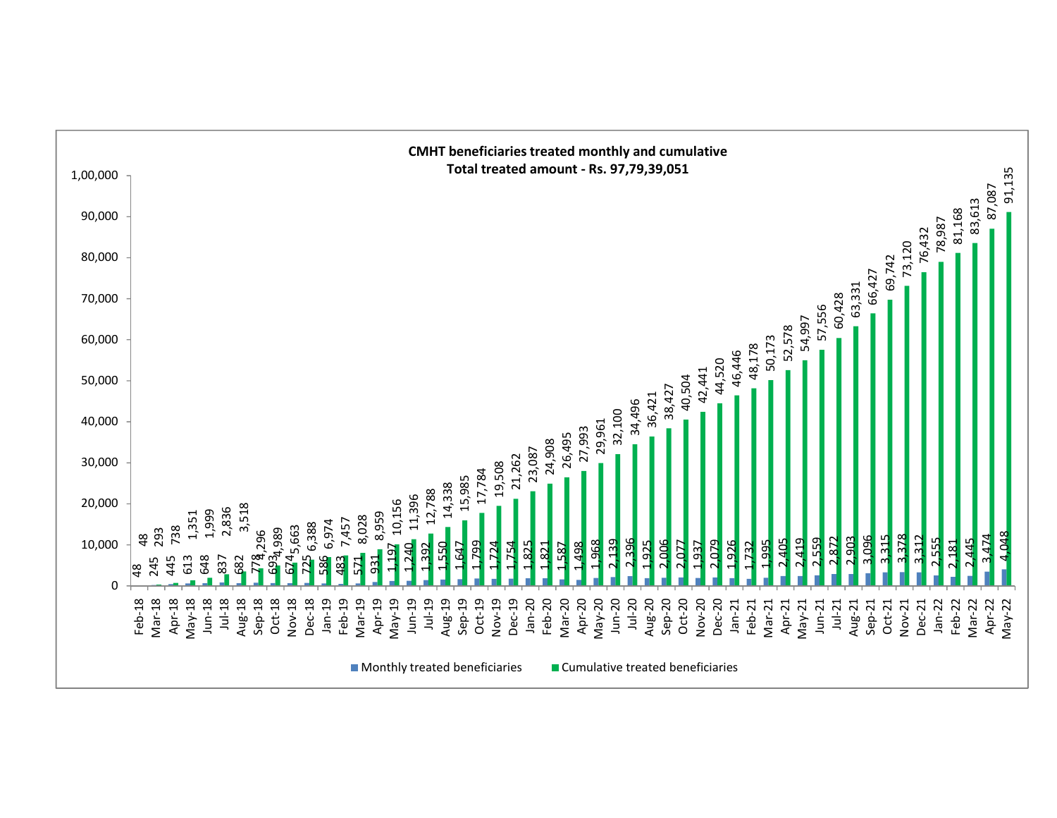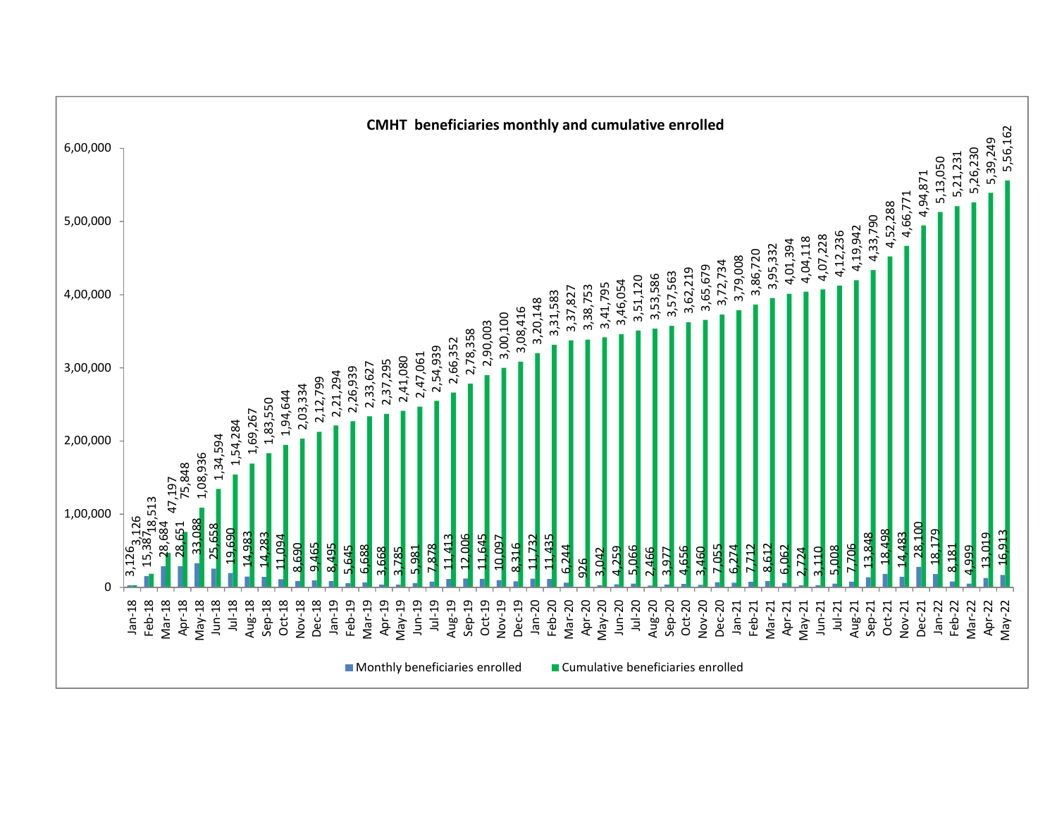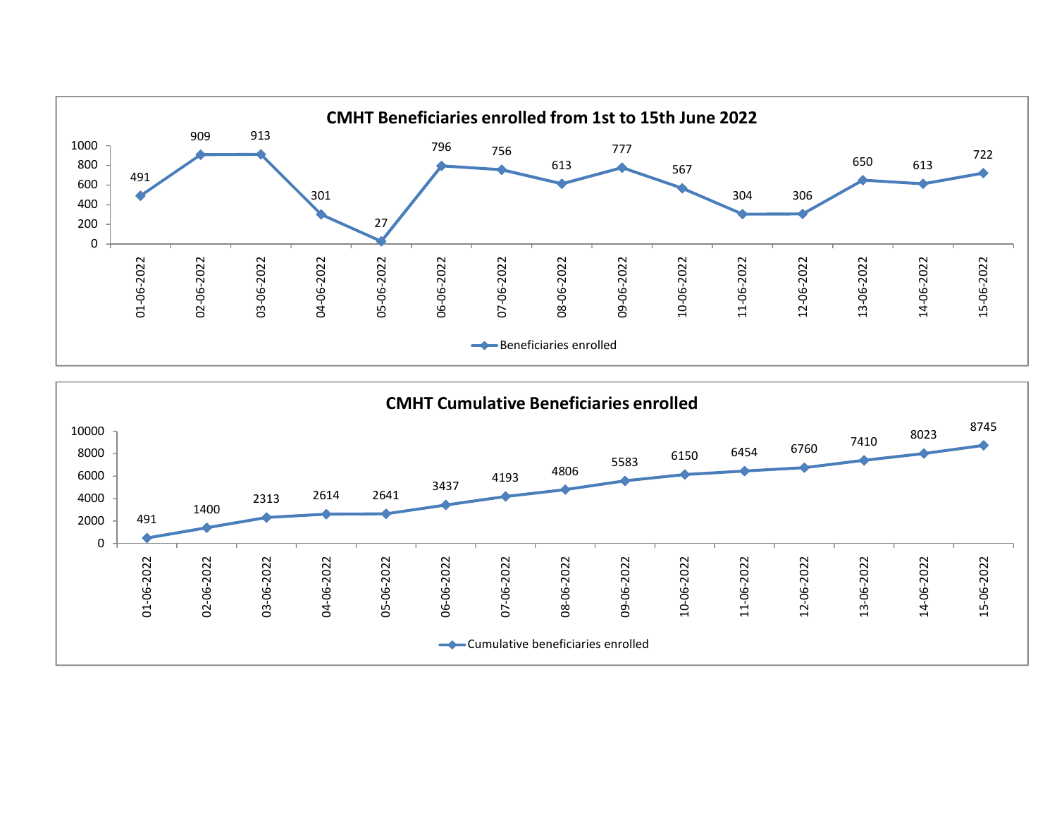